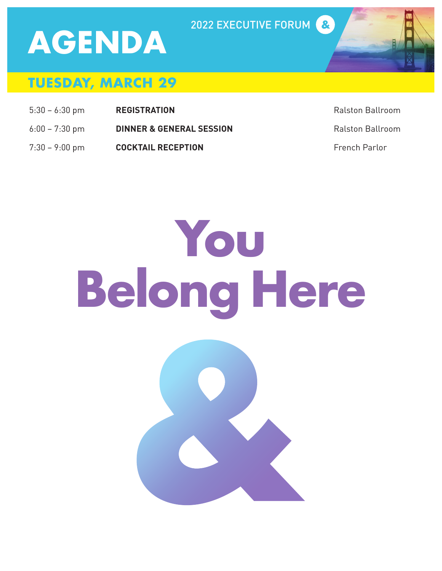# **AGENDA**

#### 2022 EXECUTIVE FORUM



- 5:30 6:30 pm **REGISTRATION** Ralston Ballroom
- 6:00 7:30 pm **DINNER & GENERAL SESSION** Ralston Ballroom
- 7:30 9:00 pm **COCKTAIL RECEPTION** French Parlor



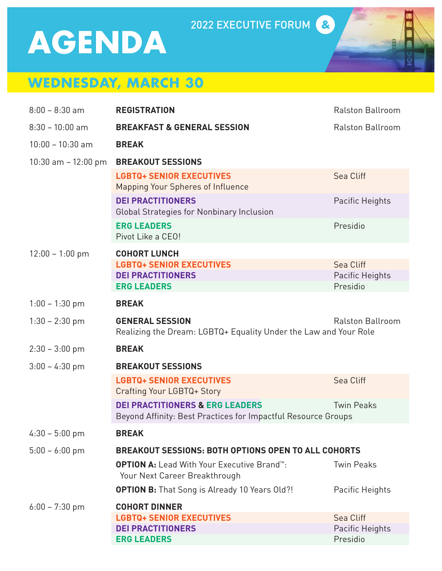## **AGENDA**

#### 2022 EXECUTIVE FORUM

### **WEDNESDAY, MARCH 30**

| $8:00 - 8:30$ am       | <b>REGISTRATION</b>                                                                                                   | <b>Ralston Ballroom</b> |  |
|------------------------|-----------------------------------------------------------------------------------------------------------------------|-------------------------|--|
| $8:30 - 10:00$ am      | <b>BREAKFAST &amp; GENERAL SESSION</b>                                                                                | <b>Ralston Ballroom</b> |  |
| $10:00 - 10:30$ am     | <b>BREAK</b>                                                                                                          |                         |  |
| $10:30$ am $-12:00$ pm | <b>BREAKOUT SESSIONS</b>                                                                                              |                         |  |
|                        | <b>LGBTQ+ SENIOR EXECUTIVES</b><br>Mapping Your Spheres of Influence                                                  | Sea Cliff               |  |
|                        | <b>DEI PRACTITIONERS</b><br><b>Global Strategies for Nonbinary Inclusion</b>                                          | Pacific Heights         |  |
|                        | <b>ERG LEADERS</b><br>Pivot Like a CEO!                                                                               | Presidio                |  |
| $12:00 - 1:00$ pm      | <b>COHORT LUNCH</b>                                                                                                   |                         |  |
|                        | <b>LGBTQ+ SENIOR EXECUTIVES</b>                                                                                       | Sea Cliff               |  |
|                        | <b>DEI PRACTITIONERS</b>                                                                                              | Pacific Heights         |  |
|                        | <b>ERG LEADERS</b>                                                                                                    | Presidio                |  |
| $1:00 - 1:30$ pm       | <b>BREAK</b>                                                                                                          |                         |  |
| $1:30 - 2:30$ pm       | <b>GENERAL SESSION</b><br><b>Ralston Ballroom</b><br>Realizing the Dream: LGBTQ+ Equality Under the Law and Your Role |                         |  |
| $2:30 - 3:00$ pm       | <b>BREAK</b>                                                                                                          |                         |  |
| $3:00 - 4:30$ pm       | <b>BREAKOUT SESSIONS</b>                                                                                              |                         |  |
|                        | <b>LGBTQ+ SENIOR EXECUTIVES</b><br>Crafting Your LGBTQ+ Story                                                         | Sea Cliff               |  |
|                        | <b>DEI PRACTITIONERS &amp; ERG LEADERS</b><br>Beyond Affinity: Best Practices for Impactful Resource Groups           | <b>Twin Peaks</b>       |  |
| $4:30 - 5:00$ pm       | <b>BREAK</b>                                                                                                          |                         |  |
| $5:00 - 6:00$ pm       | <b>BREAKOUT SESSIONS: BOTH OPTIONS OPEN TO ALL COHORTS</b>                                                            |                         |  |
|                        | <b>OPTION A:</b> Lead With Your Executive Brand <sup>1</sup> .<br>Your Next Career Breakthrough                       | <b>Twin Peaks</b>       |  |
|                        | <b>OPTION B:</b> That Song is Already 10 Years Old?!                                                                  | Pacific Heights         |  |
| $6:00 - 7:30$ pm       | <b>COHORT DINNER</b>                                                                                                  |                         |  |
|                        | <b>LGBTQ+ SENIOR EXECUTIVES</b>                                                                                       | Sea Cliff               |  |
|                        | <b>DEI PRACTITIONERS</b>                                                                                              | Pacific Heights         |  |
|                        | <b>ERG LEADERS</b>                                                                                                    | Presidio                |  |